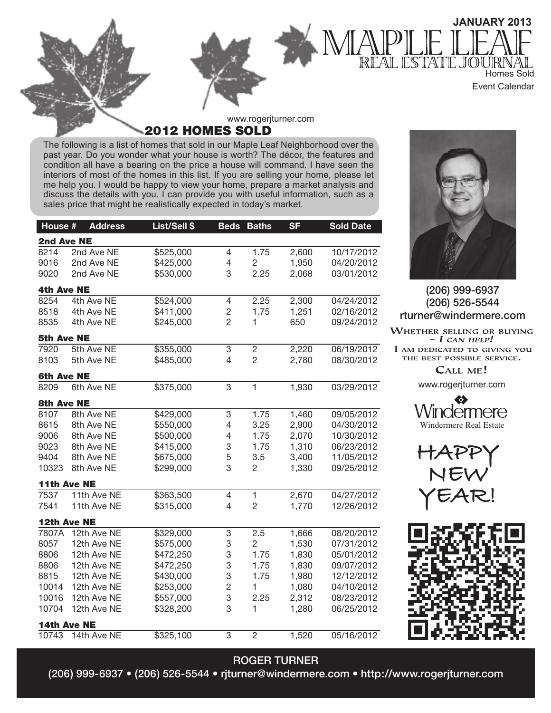

2012 HOMES SOLD

The following is a list of homes that sold in our Maple Leaf Neighborhood over the past year. Do you wonder what your house is worth? The décor, the features and condition all have a bearing on the price a house will command. I have seen the interiors of most of the homes in this list. If you are selling your home, please let me help you. I would be happy to view your home, prepare a market analysis and discuss the details with you. I can provide you with useful information, such as a sales price that might be realistically expected in today's market.

| House #           | <b>Address</b> | List/Sell \$ | <b>Beds</b>    | <b>Baths</b>   | <b>SF</b> | <b>Sold Date</b> |
|-------------------|----------------|--------------|----------------|----------------|-----------|------------------|
| 2nd Ave NE        |                |              |                |                |           |                  |
| 8214              | 2nd Ave NE     | \$525,000    | 4              | 1.75           | 2,600     | 10/17/2012       |
| 9016              | 2nd Ave NE     | \$425,000    | 4              | $\overline{c}$ | 1,950     | 04/20/2012       |
| 9020              | 2nd Ave NE     | \$530,000    | 3              | 2.25           | 2,068     | 03/01/2012       |
| <b>4th Ave NE</b> |                |              |                |                |           |                  |
| 8254              | 4th Ave NE     | \$524,000    | 4              | 2.25           | 2,300     | 04/24/2012       |
| 8518              | 4th Ave NE     | \$411,000    | $\overline{c}$ | 1.75           | 1,251     | 02/16/2012       |
| 8535              | 4th Ave NE     | \$245,000    | $\overline{2}$ | 1              | 650       | 09/24/2012       |
| <b>5th Ave NE</b> |                |              |                |                |           |                  |
| 7920              | 5th Ave NE     | \$355,000    | 3              | $\overline{2}$ | 2,220     | 06/19/2012       |
| 8103              | 5th Ave NE     | \$485,000    | 4              | $\overline{c}$ | 2,780     | 08/30/2012       |
| <b>6th Ave NE</b> |                |              |                |                |           |                  |
| 8209              | 6th Ave NE     | \$375,000    | $\overline{3}$ | $\overline{1}$ | 1,930     | 03/29/2012       |
| <b>8th Ave NE</b> |                |              |                |                |           |                  |
| 8107              | 8th Ave NE     | \$429,000    | 3              | 1.75           | 1,460     | 09/05/2012       |
| 8615              | 8th Ave NE     | \$550,000    | 4              | 3.25           | 2,900     | 04/30/2012       |
| 9006              | 8th Ave NE     | \$500,000    | 4              | 1.75           | 2,070     | 10/30/2012       |
| 9023              | 8th Ave NE     | \$415,000    | 3              | 1.75           | 1,310     | 06/23/2012       |
| 9404              | 8th Ave NE     | \$675,000    | 5              | 3.5            | 3,400     | 11/05/2012       |
| 10323             | 8th Ave NE     | \$299,000    | 3              | 2              | 1,330     | 09/25/2012       |
|                   | 11th Ave NE    |              |                |                |           |                  |
| 7537              | 11th Ave NE    | \$363,500    | $\overline{4}$ | 1              | 2,670     | 04/27/2012       |
| 7541              | 11th Ave NE    | \$315,000    | 4              | $\overline{c}$ | 1,770     | 12/26/2012       |
|                   | 12th Ave NE    |              |                |                |           |                  |
| 7807A             | 12th Ave NE    | \$329,000    | 3              | 2.5            | 1,666     | 08/20/2012       |
| 8057              | 12th Ave NE    | \$575,000    | 3              | $\overline{2}$ | 1,530     | 07/31/2012       |
| 8806              | 12th Ave NE    | \$472,250    | 3              | 1.75           | 1,830     | 05/01/2012       |
| 8806              | 12th Ave NE    | \$472,250    | 3              | 1.75           | 1,830     | 09/07/2012       |
| 8815              | 12th Ave NE    | \$430,000    | 3              | 1.75           | 1,980     | 12/12/2012       |
| 10014             | 12th Ave NE    | \$253,000    | $\overline{c}$ | 1              | 1,080     | 04/10/2012       |
| 10016             | 12th Ave NE    | \$557,000    | 3              | 2.25           | 2,312     | 08/23/2012       |
| 10704             | 12th Ave NE    | \$328,200    | 3              | 1              | 1,280     | 06/25/2012       |
|                   | 14th Ave NE    |              |                |                |           |                  |
| 10743             | 14th Ave NE    | \$325,100    | 3              | $\overline{2}$ | 1,520     | 05/16/2012       |



## (206) 999-6937 (206) 526-5544 rturner@windermere.com

WHETHER SELLING OR BUYING  $- I$  CAN HELP! I AM DEDICATED TO GIVING YOU THE BEST POSSIBLE SERVICE.

CALL ME!

www.rogerjturner.com







## ROGER TURNER

(206) 999-6937 • (206) 526-5544 • rjturner@windermere.com • http://www.rogerjturner.com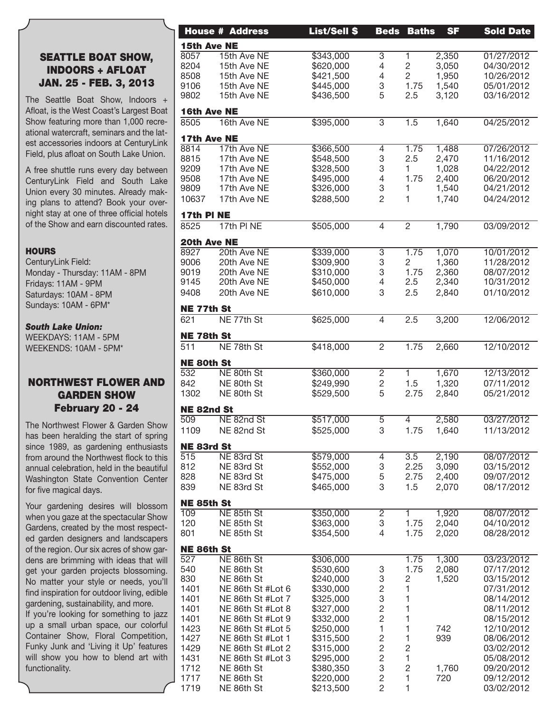## SEATTLE BOAT SHOW, INDOORS + AFLOAT JAN. 25 - FEB. 3, 2013

The Seattle Boat Show, Indoors + Afloat, is the West Coast's Largest Boat Show featuring more than 1,000 recreational watercraft, seminars and the latest accessories indoors at CenturyLink Field, plus afloat on South Lake Union.

A free shuttle runs every day between CenturyLink Field and South Lake Union every 30 minutes. Already making plans to attend? Book your overnight stay at one of three official hotels of the Show and earn discounted rates.

#### **HOURS**

CenturyLink Field: Monday - Thursday: 11AM - 8PM Fridays: 11AM - 9PM Saturdays: 10AM - 8PM Sundays: 10AM - 6PM\*

#### *South Lake Union:*

WEEKDAYS: 11AM - 5PM WEEKENDS: 10AM - 5PM\*

## NORTHWEST FLOWER AND GARDEN SHOW February 20 - 24

The Northwest Flower & Garden Show has been heralding the start of spring since 1989, as gardening enthusiasts from around the Northwest flock to this annual celebration, held in the beautiful Washington State Convention Center for five magical days.

Your gardening desires will blossom when you gaze at the spectacular Show Gardens, created by the most respected garden designers and landscapers of the region. Our six acres of show gardens are brimming with ideas that will get your garden projects blossoming. No matter your style or needs, you'll find inspiration for outdoor living, edible gardening, sustainability, and more.

If you're looking for something to jazz up a small urban space, our colorful Container Show, Floral Competition, Funky Junk and 'Living it Up' features will show you how to blend art with functionality.

|                   | <b>House # Address</b> | <b>List/Sell \$</b> | <b>Beds</b>                                | <b>Baths</b>   | <b>SF</b>  | <b>Sold Date</b> |
|-------------------|------------------------|---------------------|--------------------------------------------|----------------|------------|------------------|
| 15th Ave NE       |                        |                     |                                            |                |            |                  |
| 8057              | 15th Ave NE            | \$343,000           | $\overline{3}$                             |                | 2,350      | 01/27/2012       |
| 8204              | 15th Ave NE            | \$620,000           | 4                                          | $\overline{c}$ | 3,050      | 04/30/2012       |
| 8508              | 15th Ave NE            | \$421,500           | $\overline{4}$                             | $\overline{2}$ | 1,950      | 10/26/2012       |
| 9106              | 15th Ave NE            | \$445,000           | 3                                          | 1.75           | 1,540      | 05/01/2012       |
|                   |                        |                     | 5                                          |                |            |                  |
| 9802              | 15th Ave NE            | \$436,500           |                                            | 2.5            | 3,120      | 03/16/2012       |
| 16th Ave NE       |                        |                     |                                            |                |            |                  |
| 8505              | 16th Ave NE            | \$395,000           | 3                                          | 1.5            | 1,640      | 04/25/2012       |
|                   |                        |                     |                                            |                |            |                  |
| 17th Ave NE       |                        |                     |                                            |                |            |                  |
| 8814              | 17th Ave NE            | \$366,500           | 4                                          | 1.75           | 1,488      | 07/26/2012       |
| 8815              | 17th Ave NE            | \$548,500           | $\ensuremath{\mathsf{3}}$                  | 2.5            | 2,470      | 11/16/2012       |
| 9209              | 17th Ave NE            | \$328,500           | 3                                          |                | 1,028      | 04/22/2012       |
| 9508              | 17th Ave NE            | \$495,000           | 4                                          | 1.75           | 2,400      | 06/20/2012       |
| 9809              | 17th Ave NE            | \$326,000           | 3                                          |                | 1,540      | 04/21/2012       |
|                   |                        |                     |                                            |                |            |                  |
| 10637             | 17th Ave NE            | \$288,500           | $\overline{2}$                             |                | 1,740      | 04/24/2012       |
| 17th PINE         |                        |                     |                                            |                |            |                  |
|                   |                        |                     |                                            |                |            |                  |
| 8525              | 17th PINE              | \$505,000           | $\overline{4}$                             | $\overline{2}$ | 1,790      | 03/09/2012       |
| 20th Ave NE       |                        |                     |                                            |                |            |                  |
|                   |                        |                     |                                            |                |            |                  |
| 8927              | 20th Ave NE            | \$339,000           | $\overline{3}$                             | 1.75           | 1,070      | 10/01/2012       |
| 9006              | 20th Ave NE            | \$309,900           | 3                                          | $\overline{2}$ | 1,360      | 11/28/2012       |
| 9019              | 20th Ave NE            | \$310,000           | 3                                          | 1.75           | 2,360      | 08/07/2012       |
| 9145              | 20th Ave NE            | \$450,000           | 4                                          | 2.5            | 2,340      | 10/31/2012       |
| 9408              | 20th Ave NE            | \$610,000           | 3                                          | 2.5            | 2,840      | 01/10/2012       |
|                   |                        |                     |                                            |                |            |                  |
| NE 77th St        |                        |                     |                                            |                |            |                  |
| 621               | NE 77th St             | \$625,000           | $\overline{4}$                             | 2.5            | 3,200      | 12/06/2012       |
|                   |                        |                     |                                            |                |            |                  |
| <b>NE 78th St</b> |                        |                     |                                            |                |            |                  |
| $\overline{511}$  | NE 78th St             | \$418,000           | $\overline{2}$                             | 1.75           | 2,660      | 12/10/2012       |
|                   |                        |                     |                                            |                |            |                  |
| <b>NE 80th St</b> |                        |                     |                                            |                |            |                  |
| 532               | NE 80th St             | \$360,000           | $\overline{2}$                             |                | 1,670      | 12/13/2012       |
| 842               | NE 80th St             | \$249,990           | $\overline{c}$                             | 1.5            | 1,320      | 07/11/2012       |
| 1302              | NE 80th St             | \$529,500           | 5                                          | 2.75           | 2,840      | 05/21/2012       |
|                   |                        |                     |                                            |                |            |                  |
| NE 82nd St        |                        |                     |                                            |                |            |                  |
| 509               | NE 82nd St             | \$517,000           | $\overline{5}$                             | 4              | 2,580      | 03/27/2012       |
| 1109              | NE 82nd St             | \$525,000           | 3                                          |                |            |                  |
|                   |                        |                     |                                            |                | 1.75 1,640 | 11/13/2012       |
| NE 83rd St        |                        |                     |                                            |                |            |                  |
| 515               | NE 83rd St             | \$579,000           | 4                                          | 3.5            | 2,190      | 08/07/2012       |
| 812               | NE 83rd St             | \$552,000           | 3                                          | 2.25           | 3,090      | 03/15/2012       |
|                   |                        |                     |                                            |                |            |                  |
| 828               | NE 83rd St             | \$475,000           | 5                                          | 2.75           | 2,400      | 09/07/2012       |
| 839               | NE 83rd St             | \$465,000           | 3                                          | 1.5            | 2,070      | 08/17/2012       |
|                   |                        |                     |                                            |                |            |                  |
| NE 85th St        |                        |                     |                                            |                |            |                  |
| $\overline{109}$  | NE 85th St             | \$350,000           | $\overline{2}$                             |                | 1,920      | 08/07/2012       |
| 120               | NE 85th St             | \$363,000           | 3                                          | 1.75           | 2,040      | 04/10/2012       |
| 801               | NE 85th St             | \$354,500           | 4                                          | 1.75           | 2,020      | 08/28/2012       |
|                   |                        |                     |                                            |                |            |                  |
| NE 86th St        |                        |                     |                                            |                |            |                  |
| 527               | NE 86th St             | \$306,000           |                                            | 1.75           | 1,300      | 03/23/2012       |
| 540               | NE 86th St             | \$530,600           | 3                                          | 1.75           | 2,080      | 07/17/2012       |
| 830               | NE 86th St             | \$240,000           | $\ensuremath{\mathsf{3}}$                  | 2              | 1,520      | 03/15/2012       |
| 1401              | NE 86th St #Lot 6      | \$330,000           | $\overline{c}$                             |                |            | 07/31/2012       |
| 1401              | NE 86th St #Lot 7      | \$325,000           | $\ensuremath{\mathsf{3}}$                  |                |            | 08/14/2012       |
| 1401              | NE 86th St #Lot 8      | \$327,000           |                                            |                |            | 08/11/2012       |
|                   |                        |                     | $\begin{array}{c} 2 \\ 2 \\ 1 \end{array}$ |                |            |                  |
| 1401              | NE 86th St #Lot 9      | \$332,000           |                                            |                |            | 08/15/2012       |
| 1423              | NE 86th St #Lot 5      | \$250,000           |                                            |                | 742        | 12/10/2012       |
| 1427              | NE 86th St #Lot 1      | \$315,500           | $\overline{\mathbf{c}}$                    |                | 939        | 08/06/2012       |
| 1429              | NE 86th St #Lot 2      | \$315,000           | $\overline{c}$                             | 2              |            | 03/02/2012       |
| 1431              | NE 86th St #Lot 3      | \$295,000           | $\sqrt{2}$                                 |                |            | 05/08/2012       |
| 1712              | NE 86th St             | \$380,350           | $\ensuremath{\mathsf{3}}$                  | 2              | 1,760      | 09/20/2012       |
| 1717              | NE 86th St             | \$220,000           | $\overline{c}$                             |                | 720        | 09/12/2012       |
|                   |                        |                     | $\overline{c}$                             |                |            |                  |
| 1719              | NE 86th St             | \$213,500           |                                            |                |            | 03/02/2012       |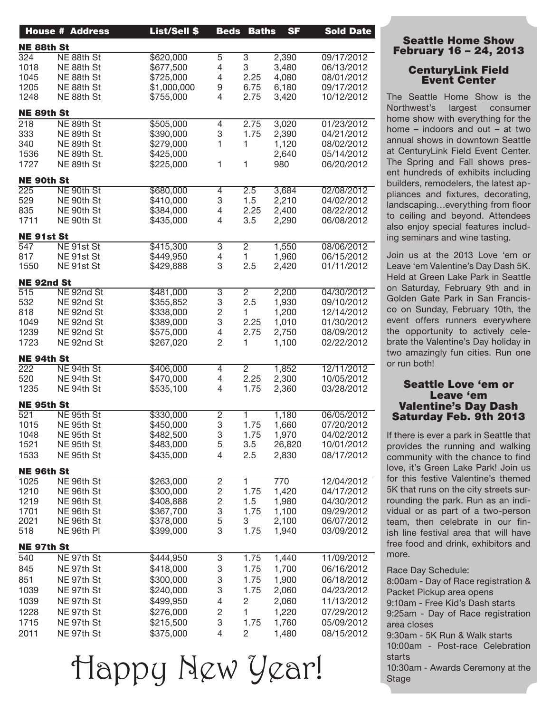|                   | <b>House # Address</b> | <b>List/Sell \$</b> |                           | <b>Beds Baths</b> | <b>SF</b> | <b>Sold Date</b> |
|-------------------|------------------------|---------------------|---------------------------|-------------------|-----------|------------------|
| <b>NE 88th St</b> |                        |                     |                           |                   |           |                  |
| 324               | NE 88th St             | \$620,000           | $\overline{5}$            | $\overline{3}$    | 2,390     | 09/17/2012       |
| 1018              | NE 88th St             | \$677,500           | $\overline{4}$            | 3                 | 3,480     | 06/13/2012       |
| 1045              | NE 88th St             | \$725,000           | $\overline{4}$            | 2.25              | 4,080     | 08/01/2012       |
| 1205              | NE 88th St             | \$1,000,000         | 9                         | 6.75              | 6,180     | 09/17/2012       |
| 1248              | NE 88th St             | \$755,000           | $\overline{4}$            | 2.75              | 3,420     | 10/12/2012       |
| NE 89th St        |                        |                     |                           |                   |           |                  |
| 218               | NE 89th St             | \$505,000           | 4                         | 2.75              | 3,020     | 01/23/2012       |
| 333               | NE 89th St             | \$390,000           | 3                         | 1.75              | 2,390     | 04/21/2012       |
| 340               | NE 89th St             | \$279,000           | $\mathbf{1}$              | 1                 | 1,120     | 08/02/2012       |
| 1536              | NE 89th St.            | \$425,000           |                           |                   | 2,640     | 05/14/2012       |
| 1727              | NE 89th St             | \$225,000           | $\mathbf{1}$              | -1                | 980       | 06/20/2012       |
| <b>NE 90th St</b> |                        |                     |                           |                   |           |                  |
| 225               | NE 90th St             | \$680,000           | 4                         | 2.5               | 3,684     | 02/08/2012       |
| 529               | NE 90th St             | \$410,000           | 3                         | 1.5               | 2,210     | 04/02/2012       |
| 835               | NE 90th St             | \$384,000           | $\overline{4}$            | 2.25              | 2,400     | 08/22/2012       |
| 1711              | NE 90th St             | \$435,000           | $\overline{4}$            | 3.5               | 2,290     | 06/08/2012       |
| <b>NE 91st St</b> |                        |                     |                           |                   |           |                  |
| 547               | NE 91st St             | \$415,300           | $\overline{3}$            | $\overline{2}$    | 1,550     | 08/06/2012       |
| 817               | NE 91st St             | \$449,950           | $\overline{4}$            | $\mathbf{1}$      | 1,960     | 06/15/2012       |
| 1550              | NE 91st St             | \$429,888           | 3                         | 2.5               | 2,420     | 01/11/2012       |
| NE 92nd St        |                        |                     |                           |                   |           |                  |
| 515               | NE 92nd St             | \$481,000           | 3                         | $\overline{2}$    | 2,200     | 04/30/2012       |
| 532               | NE 92nd St             | \$355,852           | $\ensuremath{\mathsf{3}}$ | 2.5               | 1,930     | 09/10/2012       |
| 818               | NE 92nd St             | \$338,000           | $\sqrt{2}$                | $\mathbf{1}$      | 1,200     | 12/14/2012       |
| 1049              | NE 92nd St             | \$389,000           | 3                         | 2.25              | 1,010     | 01/30/2012       |
| 1239              | NE 92nd St             | \$575,000           | $\overline{4}$            | 2.75              | 2,750     | 08/09/2012       |
| 1723              | NE 92nd St             | \$267,020           | $\overline{2}$            | 1                 | 1,100     | 02/22/2012       |
| NE 94th St        |                        |                     |                           |                   |           |                  |
| 222               | NE 94th St             | \$406,000           | 4                         | $\overline{2}$    | 1,852     | 12/11/2012       |
| 520               | NE 94th St             | \$470,000           | 4                         | 2.25              | 2,300     | 10/05/2012       |
| 1235              | NE 94th St             | \$535,100           | $\overline{4}$            | 1.75              | 2,360     | 03/28/2012       |
| NE 95th St        |                        |                     |                           |                   |           |                  |
| 521               | NE 95th St             | \$330,000           | $\overline{2}$            |                   | 1,180     | 06/05/2012       |
| 1015              | NE 95th St             | \$450,000           | 3                         | 1.75              | 1,660     | 07/20/2012       |
| 1048              | NE 95th St             | \$482,500           | 3                         | 1.75              | 1,970     | 04/02/2012       |
| 1521              | NE 95th St             | \$483,000           | 5                         | 3.5               | 26,820    | 10/01/2012       |
| 1533              | NE 95th St             | \$435,000           | 4                         | 2.5               | 2,830     | 08/17/2012       |
| <b>NE 96th St</b> |                        |                     |                           |                   |           |                  |
| 1025              | NE 96th St             | \$263,000           | $\overline{c}$            |                   | 770       | 12/04/2012       |
| 1210              | NE 96th St             | \$300,000           | $\mathbf{2}$              | 1.75              | 1,420     | 04/17/2012       |
| 1219              | NE 96th St             | \$408,888           | $\sqrt{2}$                | 1.5               | 1,980     | 04/30/2012       |
| 1701              | NE 96th St             | \$367,700           | 3                         | 1.75              | 1,100     | 09/29/2012       |
| 2021              | NE 96th St             | \$378,000           | 5                         | 3                 | 2,100     | 06/07/2012       |
| 518               | NE 96th PI             | \$399,000           | 3                         | 1.75              | 1,940     | 03/09/2012       |
| NE 97th St        |                        |                     |                           |                   |           |                  |
| 540               | NE 97th St             | \$444,950           | 3                         | 1.75              | 1,440     | 11/09/2012       |
| 845               | NE 97th St             | \$418,000           | 3                         | 1.75              | 1,700     | 06/16/2012       |
| 851               | NE 97th St             | \$300,000           | 3                         | 1.75              | 1,900     | 06/18/2012       |
| 1039              | NE 97th St             | \$240,000           | 3                         | 1.75              | 2,060     | 04/23/2012       |
| 1039              | NE 97th St             | \$499,950           | 4                         | $\overline{2}$    | 2,060     | 11/13/2012       |
| 1228              | NE 97th St             | \$276,000           | $\mathbf{2}$              | $\mathbf{1}$      | 1,220     | 07/29/2012       |
|                   |                        |                     |                           |                   |           |                  |
| 1715              | NE 97th St             | \$215,500           | 3                         | 1.75              | 1,760     | 05/09/2012       |
| 2011              | NE 97th St             | \$375,000           | $\overline{4}$            | $\overline{2}$    | 1,480     | 08/15/2012       |

Happy New Year!

## Seattle Home Show February 16 – 24, 2013

### CenturyLink Field Event Center

The Seattle Home Show is the Northwest's largest consumer home show with everything for the home – indoors and out – at two annual shows in downtown Seattle at CenturyLink Field Event Center. The Spring and Fall shows present hundreds of exhibits including builders, remodelers, the latest appliances and fixtures, decorating, landscaping…everything from floor to ceiling and beyond. Attendees also enjoy special features including seminars and wine tasting.

Join us at the 2013 Love 'em or Leave 'em Valentine's Day Dash 5K. Held at Green Lake Park in Seattle on Saturday, February 9th and in Golden Gate Park in San Francisco on Sunday, February 10th, the event offers runners everywhere the opportunity to actively celebrate the Valentine's Day holiday in two amazingly fun cities. Run one or run both! 

### Seattle Love 'em or Leave 'em Valentine's Day Dash Saturday Feb. 9th 2013

If there is ever a park in Seattle that provides the running and walking community with the chance to find love, it's Green Lake Park! Join us for this festive Valentine's themed 5K that runs on the city streets surrounding the park. Run as an individual or as part of a two-person team, then celebrate in our finish line festival area that will have free food and drink, exhibitors and more.

Race Day Schedule:

8:00am - Day of Race registration & Packet Pickup area opens 9:10am - Free Kid's Dash starts 9:25am - Day of Race registration area closes 9:30am - 5K Run & Walk starts 10:00am - Post-race Celebration starts

10:30am - Awards Ceremony at the Stage